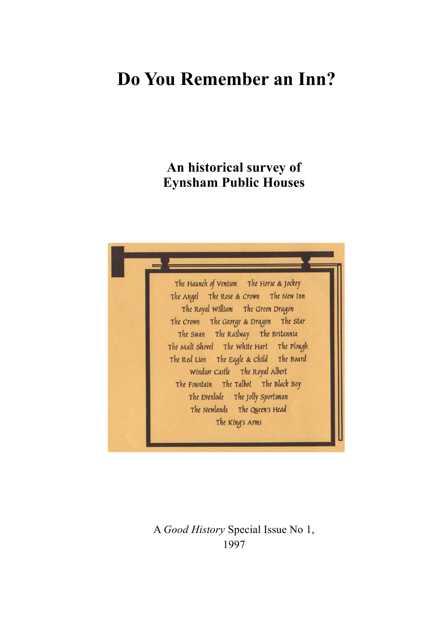# **Do You Remember an Inn?**

# **An historical survey of Eynsham Public Houses**



A *Good History* Special Issue No 1, 1997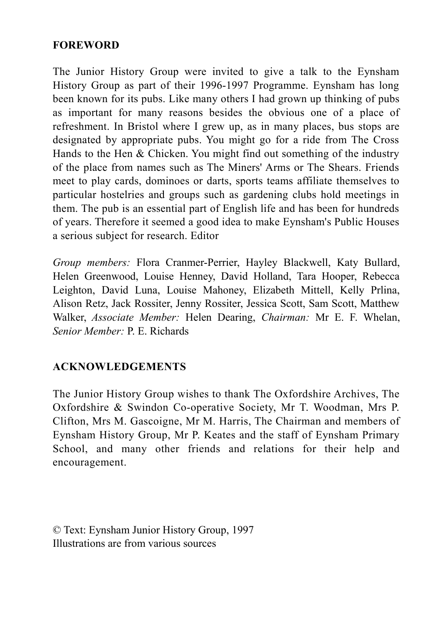## **FOREWORD**

The Junior History Group were invited to give a talk to the Eynsham History Group as part of their 1996-1997 Programme. Eynsham has long been known for its pubs. Like many others I had grown up thinking of pubs as important for many reasons besides the obvious one of a place of refreshment. In Bristol where I grew up, as in many places, bus stops are designated by appropriate pubs. You might go for a ride from The Cross Hands to the Hen & Chicken. You might find out something of the industry of the place from names such as The Miners' Arms or The Shears. Friends meet to play cards, dominoes or darts, sports teams affiliate themselves to particular hostelries and groups such as gardening clubs hold meetings in them. The pub is an essential part of English life and has been for hundreds of years. Therefore it seemed a good idea to make Eynsham's Public Houses a serious subject for research. Editor

*Group members:* Flora Cranmer-Perrier, Hayley Blackwell, Katy Bullard, Helen Greenwood, Louise Henney, David Holland, Tara Hooper, Rebecca Leighton, David Luna, Louise Mahoney, Elizabeth Mittell, Kelly Prlina, Alison Retz, Jack Rossiter, Jenny Rossiter, Jessica Scott, Sam Scott, Matthew Walker, *Associate Member:* Helen Dearing, *Chairman:* Mr E. F. Whelan, *Senior Member:* P. E. Richards

# **ACKNOWLEDGEMENTS**

The Junior History Group wishes to thank The Oxfordshire Archives, The Oxfordshire & Swindon Co-operative Society, Mr T. Woodman, Mrs P. Clifton, Mrs M. Gascoigne, Mr M. Harris, The Chairman and members of Eynsham History Group, Mr P. Keates and the staff of Eynsham Primary School, and many other friends and relations for their help and encouragement.

© Text: Eynsham Junior History Group, 1997 Illustrations are from various sources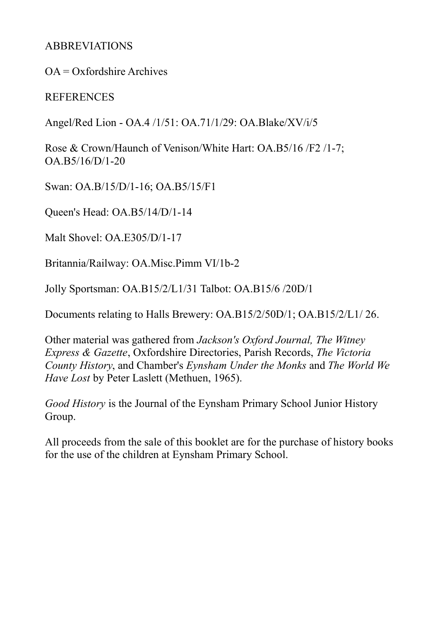## ABBREVIATIONS

 $OA = Ox$  fordshire Archives

#### **REFERENCES**

Angel/Red Lion - OA.4 /1/51: OA.71/1/29: OA.Blake/XV/i/5

Rose & Crown/Haunch of Venison/White Hart: OA.B5/16 /F2 /1-7; OA.B5/16/D/1-20

Swan: OA.B/15/D/1-16; OA.B5/15/F1

Queen's Head: OA.B5/14/D/1-14

Malt Shovel: OA.E305/D/1-17

Britannia/Railway: OA.Misc.Pimm VI/1b-2

Jolly Sportsman: OA.B15/2/L1/31 Talbot: OA.B15/6 /20D/1

Documents relating to Halls Brewery: OA.B15/2/50D/1; OA.B15/2/L1/ 26.

Other material was gathered from *Jackson's Oxford Journal, The Witney Express & Gazette*, Oxfordshire Directories, Parish Records, *The Victoria County History*, and Chamber's *Eynsham Under the Monks* and *The World We Have Lost* by Peter Laslett (Methuen, 1965).

*Good History* is the Journal of the Eynsham Primary School Junior History Group.

All proceeds from the sale of this booklet are for the purchase of history books for the use of the children at Eynsham Primary School.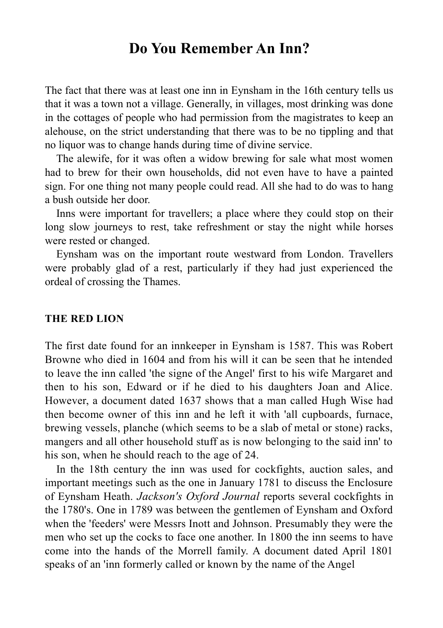# **Do You Remember An Inn?**

The fact that there was at least one inn in Eynsham in the 16th century tells us that it was a town not a village. Generally, in villages, most drinking was done in the cottages of people who had permission from the magistrates to keep an alehouse, on the strict understanding that there was to be no tippling and that no liquor was to change hands during time of divine service.

The alewife, for it was often a widow brewing for sale what most women had to brew for their own households, did not even have to have a painted sign. For one thing not many people could read. All she had to do was to hang a bush outside her door.

Inns were important for travellers; a place where they could stop on their long slow journeys to rest, take refreshment or stay the night while horses were rested or changed.

Eynsham was on the important route westward from London. Travellers were probably glad of a rest, particularly if they had just experienced the ordeal of crossing the Thames.

#### **THE RED LION**

The first date found for an innkeeper in Eynsham is 1587. This was Robert Browne who died in 1604 and from his will it can be seen that he intended to leave the inn called 'the signe of the Angel' first to his wife Margaret and then to his son, Edward or if he died to his daughters Joan and Alice. However, a document dated 1637 shows that a man called Hugh Wise had then become owner of this inn and he left it with 'all cupboards, furnace, brewing vessels, planche (which seems to be a slab of metal or stone) racks, mangers and all other household stuff as is now belonging to the said inn' to his son, when he should reach to the age of 24.

In the 18th century the inn was used for cockfights, auction sales, and important meetings such as the one in January 1781 to discuss the Enclosure of Eynsham Heath. *Jackson's Oxford Journal* reports several cockfights in the 1780's. One in 1789 was between the gentlemen of Eynsham and Oxford when the 'feeders' were Messrs Inott and Johnson. Presumably they were the men who set up the cocks to face one another. In 1800 the inn seems to have come into the hands of the Morrell family. A document dated April 1801 speaks of an 'inn formerly called or known by the name of the Angel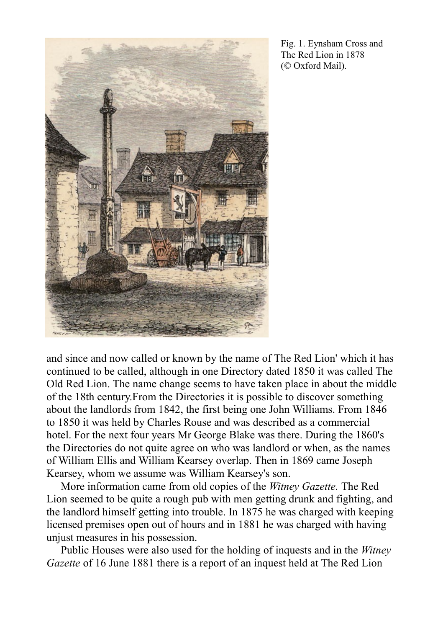

Fig. 1. Eynsham Cross and The Red Lion in 1878 (© Oxford Mail).

and since and now called or known by the name of The Red Lion' which it has continued to be called, although in one Directory dated 1850 it was called The Old Red Lion. The name change seems to have taken place in about the middle of the 18th century.From the Directories it is possible to discover something about the landlords from 1842, the first being one John Williams. From 1846 to 1850 it was held by Charles Rouse and was described as a commercial hotel. For the next four years Mr George Blake was there. During the 1860's the Directories do not quite agree on who was landlord or when, as the names of William Ellis and William Kearsey overlap. Then in 1869 came Joseph Kearsey, whom we assume was William Kearsey's son.

More information came from old copies of the *Witney Gazette.* The Red Lion seemed to be quite a rough pub with men getting drunk and fighting, and the landlord himself getting into trouble. In 1875 he was charged with keeping licensed premises open out of hours and in 1881 he was charged with having unjust measures in his possession.

Public Houses were also used for the holding of inquests and in the *Witney Gazette* of 16 June 1881 there is a report of an inquest held at The Red Lion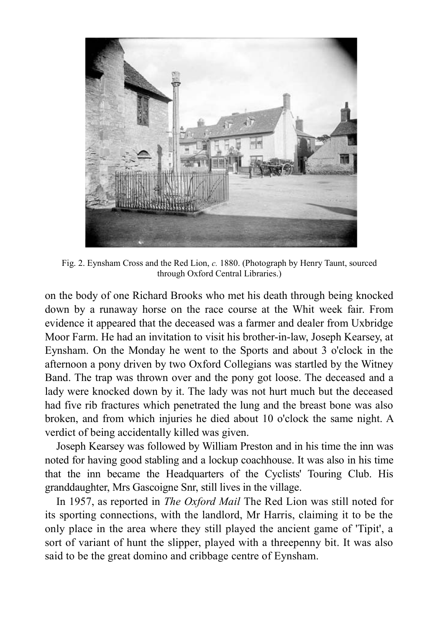

Fig. 2. Eynsham Cross and the Red Lion, *c.* 1880. (Photograph by Henry Taunt, sourced through Oxford Central Libraries.)

on the body of one Richard Brooks who met his death through being knocked down by a runaway horse on the race course at the Whit week fair. From evidence it appeared that the deceased was a farmer and dealer from Uxbridge Moor Farm. He had an invitation to visit his brother-in-law, Joseph Kearsey, at Eynsham. On the Monday he went to the Sports and about 3 o'clock in the afternoon a pony driven by two Oxford Collegians was startled by the Witney Band. The trap was thrown over and the pony got loose. The deceased and a lady were knocked down by it. The lady was not hurt much but the deceased had five rib fractures which penetrated the lung and the breast bone was also broken, and from which injuries he died about 10 o'clock the same night. A verdict of being accidentally killed was given.

Joseph Kearsey was followed by William Preston and in his time the inn was noted for having good stabling and a lockup coachhouse. It was also in his time that the inn became the Headquarters of the Cyclists' Touring Club. His granddaughter, Mrs Gascoigne Snr, still lives in the village.

In 1957, as reported in *The Oxford Mail* The Red Lion was still noted for its sporting connections, with the landlord, Mr Harris, claiming it to be the only place in the area where they still played the ancient game of 'Tipit', a sort of variant of hunt the slipper, played with a threepenny bit. It was also said to be the great domino and cribbage centre of Eynsham.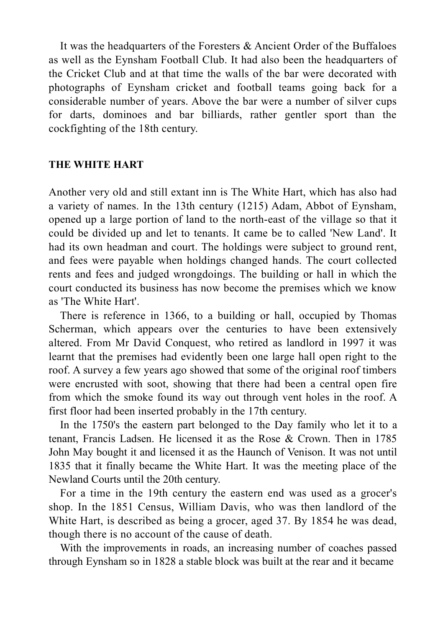It was the headquarters of the Foresters & Ancient Order of the Buffaloes as well as the Eynsham Football Club. It had also been the headquarters of the Cricket Club and at that time the walls of the bar were decorated with photographs of Eynsham cricket and football teams going back for a considerable number of years. Above the bar were a number of silver cups for darts, dominoes and bar billiards, rather gentler sport than the cockfighting of the 18th century.

#### **THE WHITE HART**

Another very old and still extant inn is The White Hart, which has also had a variety of names. In the 13th century (1215) Adam, Abbot of Eynsham, opened up a large portion of land to the north-east of the village so that it could be divided up and let to tenants. It came be to called 'New Land'. It had its own headman and court. The holdings were subject to ground rent, and fees were payable when holdings changed hands. The court collected rents and fees and judged wrongdoings. The building or hall in which the court conducted its business has now become the premises which we know as 'The White Hart'.

There is reference in 1366, to a building or hall, occupied by Thomas Scherman, which appears over the centuries to have been extensively altered. From Mr David Conquest, who retired as landlord in 1997 it was learnt that the premises had evidently been one large hall open right to the roof. A survey a few years ago showed that some of the original roof timbers were encrusted with soot, showing that there had been a central open fire from which the smoke found its way out through vent holes in the roof. A first floor had been inserted probably in the 17th century.

In the 1750's the eastern part belonged to the Day family who let it to a tenant, Francis Ladsen. He licensed it as the Rose & Crown. Then in 1785 John May bought it and licensed it as the Haunch of Venison. It was not until 1835 that it finally became the White Hart. It was the meeting place of the Newland Courts until the 20th century.

For a time in the 19th century the eastern end was used as a grocer's shop. In the 1851 Census, William Davis, who was then landlord of the White Hart, is described as being a grocer, aged 37. By 1854 he was dead, though there is no account of the cause of death.

With the improvements in roads, an increasing number of coaches passed through Eynsham so in 1828 a stable block was built at the rear and it became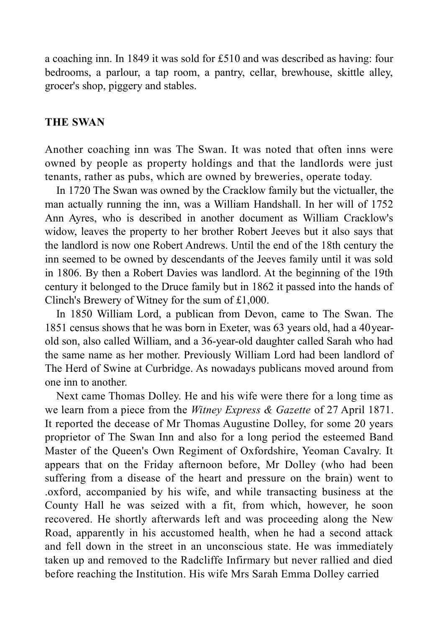a coaching inn. In 1849 it was sold for £510 and was described as having: four bedrooms, a parlour, a tap room, a pantry, cellar, brewhouse, skittle alley, grocer's shop, piggery and stables.

#### **THE SWAN**

Another coaching inn was The Swan. It was noted that often inns were owned by people as property holdings and that the landlords were just tenants, rather as pubs, which are owned by breweries, operate today.

In 1720 The Swan was owned by the Cracklow family but the victualler, the man actually running the inn, was a William Handshall. In her will of 1752 Ann Ayres, who is described in another document as William Cracklow's widow, leaves the property to her brother Robert Jeeves but it also says that the landlord is now one Robert Andrews. Until the end of the 18th century the inn seemed to be owned by descendants of the Jeeves family until it was sold in 1806. By then a Robert Davies was landlord. At the beginning of the 19th century it belonged to the Druce family but in 1862 it passed into the hands of Clinch's Brewery of Witney for the sum of £1,000.

In 1850 William Lord, a publican from Devon, came to The Swan. The 1851 census shows that he was born in Exeter, was 63 years old, had a 40yearold son, also called William, and a 36-year-old daughter called Sarah who had the same name as her mother. Previously William Lord had been landlord of The Herd of Swine at Curbridge. As nowadays publicans moved around from one inn to another.

Next came Thomas Dolley. He and his wife were there for a long time as we learn from a piece from the *Witney Express & Gazette* of 27 April 1871. It reported the decease of Mr Thomas Augustine Dolley, for some 20 years proprietor of The Swan Inn and also for a long period the esteemed Band Master of the Queen's Own Regiment of Oxfordshire, Yeoman Cavalry. It appears that on the Friday afternoon before, Mr Dolley (who had been suffering from a disease of the heart and pressure on the brain) went to .oxford, accompanied by his wife, and while transacting business at the County Hall he was seized with a fit, from which, however, he soon recovered. He shortly afterwards left and was proceeding along the New Road, apparently in his accustomed health, when he had a second attack and fell down in the street in an unconscious state. He was immediately taken up and removed to the Radcliffe Infirmary but never rallied and died before reaching the Institution. His wife Mrs Sarah Emma Dolley carried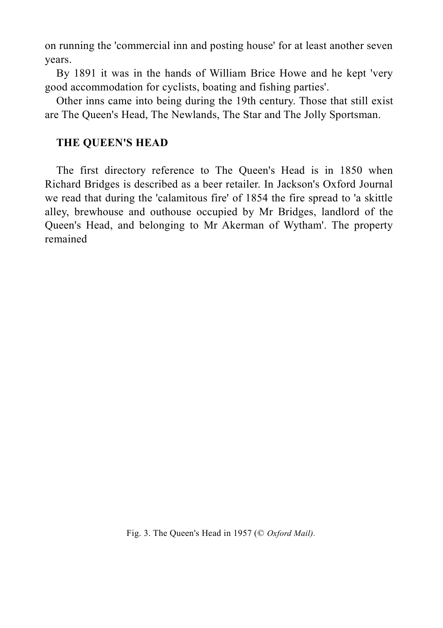on running the 'commercial inn and posting house' for at least another seven years.

By 1891 it was in the hands of William Brice Howe and he kept 'very good accommodation for cyclists, boating and fishing parties'.

Other inns came into being during the 19th century. Those that still exist are The Queen's Head, The Newlands, The Star and The Jolly Sportsman.

#### **THE QUEEN'S HEAD**

The first directory reference to The Queen's Head is in 1850 when Richard Bridges is described as a beer retailer. In Jackson's Oxford Journal we read that during the 'calamitous fire' of 1854 the fire spread to 'a skittle alley, brewhouse and outhouse occupied by Mr Bridges, landlord of the Queen's Head, and belonging to Mr Akerman of Wytham'. The property remained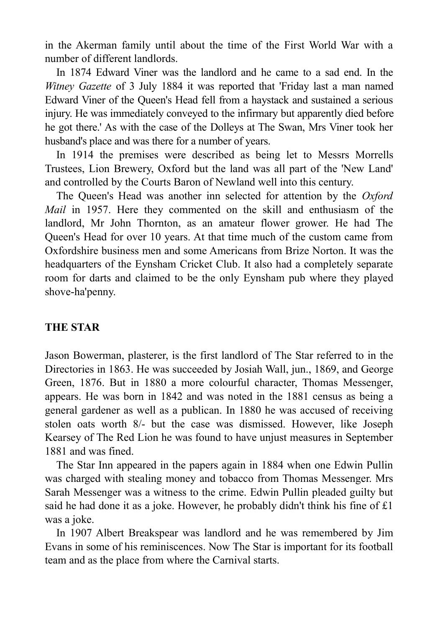in the Akerman family until about the time of the First World War with a number of different landlords.

In 1874 Edward Viner was the landlord and he came to a sad end. In the *Witney Gazette* of 3 July 1884 it was reported that 'Friday last a man named Edward Viner of the Queen's Head fell from a haystack and sustained a serious injury. He was immediately conveyed to the infirmary but apparently died before he got there.' As with the case of the Dolleys at The Swan, Mrs Viner took her husband's place and was there for a number of years.

In 1914 the premises were described as being let to Messrs Morrells Trustees, Lion Brewery, Oxford but the land was all part of the 'New Land' and controlled by the Courts Baron of Newland well into this century.

The Queen's Head was another inn selected for attention by the *Oxford Mail* in 1957. Here they commented on the skill and enthusiasm of the landlord, Mr John Thornton, as an amateur flower grower. He had The Queen's Head for over 10 years. At that time much of the custom came from Oxfordshire business men and some Americans from Brize Norton. It was the headquarters of the Eynsham Cricket Club. It also had a completely separate room for darts and claimed to be the only Eynsham pub where they played shove-ha'penny.

### **THE STAR**

Jason Bowerman, plasterer, is the first landlord of The Star referred to in the Directories in 1863. He was succeeded by Josiah Wall, jun., 1869, and George Green, 1876. But in 1880 a more colourful character, Thomas Messenger, appears. He was born in 1842 and was noted in the 1881 census as being a general gardener as well as a publican. In 1880 he was accused of receiving stolen oats worth 8/- but the case was dismissed. However, like Joseph Kearsey of The Red Lion he was found to have unjust measures in September 1881 and was fined.

The Star Inn appeared in the papers again in 1884 when one Edwin Pullin was charged with stealing money and tobacco from Thomas Messenger. Mrs Sarah Messenger was a witness to the crime. Edwin Pullin pleaded guilty but said he had done it as a joke. However, he probably didn't think his fine of £1 was a joke.

In 1907 Albert Breakspear was landlord and he was remembered by Jim Evans in some of his reminiscences. Now The Star is important for its football team and as the place from where the Carnival starts.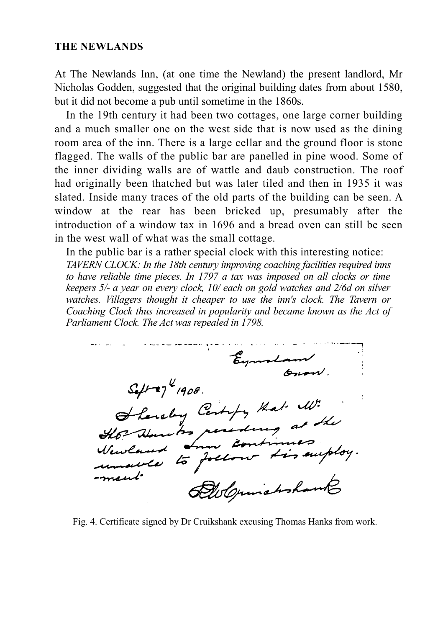#### **THE NEWLANDS**

At The Newlands Inn, (at one time the Newland) the present landlord, Mr Nicholas Godden, suggested that the original building dates from about 1580, but it did not become a pub until sometime in the 1860s.

In the 19th century it had been two cottages, one large corner building and a much smaller one on the west side that is now used as the dining room area of the inn. There is a large cellar and the ground floor is stone flagged. The walls of the public bar are panelled in pine wood. Some of the inner dividing walls are of wattle and daub construction. The roof had originally been thatched but was later tiled and then in 1935 it was slated. Inside many traces of the old parts of the building can be seen. A window at the rear has been bricked up, presumably after the introduction of a window tax in 1696 and a bread oven can still be seen in the west wall of what was the small cottage.

In the public bar is a rather special clock with this interesting notice: *TAVERN CLOCK: In the 18th century improving coaching facilities required inns to have reliable time pieces. In 1797 a tax was imposed on all clocks or time keepers 5/- a year on every clock, 10/ each on gold watches and 2/6d on silver watches. Villagers thought it cheaper to use the inn's clock. The Tavern or Coaching Clock thus increased in popularity and became known as the Act of Parliament Clock. The Act was repealed in 1798.*

Eymort  $\mathcal{S}_{e}$ /-17<sup>4</sup> $(908)$ hereby Certify that W. sulaw to per und to foll Als Opinishophan

Fig. 4. Certificate signed by Dr Cruikshank excusing Thomas Hanks from work.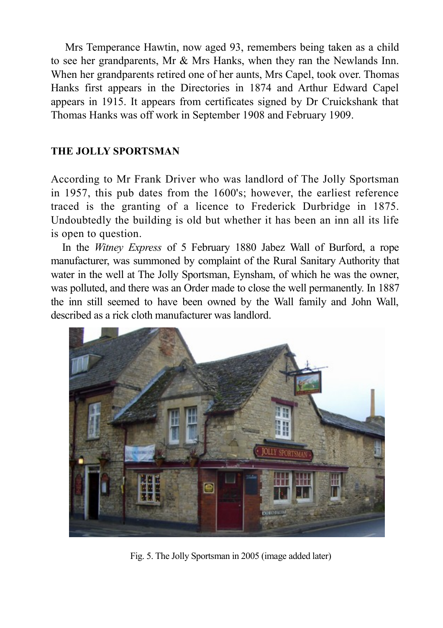Mrs Temperance Hawtin, now aged 93, remembers being taken as a child to see her grandparents, Mr & Mrs Hanks, when they ran the Newlands Inn. When her grandparents retired one of her aunts, Mrs Capel, took over. Thomas Hanks first appears in the Directories in 1874 and Arthur Edward Capel appears in 1915. It appears from certificates signed by Dr Cruickshank that Thomas Hanks was off work in September 1908 and February 1909.

#### **THE JOLLY SPORTSMAN**

According to Mr Frank Driver who was landlord of The Jolly Sportsman in 1957, this pub dates from the 1600's; however, the earliest reference traced is the granting of a licence to Frederick Durbridge in 1875. Undoubtedly the building is old but whether it has been an inn all its life is open to question.

In the *Witney Express* of 5 February 1880 Jabez Wall of Burford, a rope manufacturer, was summoned by complaint of the Rural Sanitary Authority that water in the well at The Jolly Sportsman, Eynsham, of which he was the owner, was polluted, and there was an Order made to close the well permanently. In 1887 the inn still seemed to have been owned by the Wall family and John Wall, described as a rick cloth manufacturer was landlord.



Fig. 5. The Jolly Sportsman in 2005 (image added later)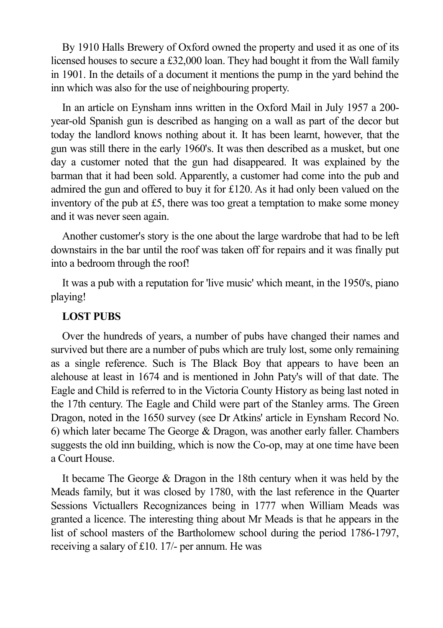By 1910 Halls Brewery of Oxford owned the property and used it as one of its licensed houses to secure a £32,000 loan. They had bought it from the Wall family in 1901. In the details of a document it mentions the pump in the yard behind the inn which was also for the use of neighbouring property.

In an article on Eynsham inns written in the Oxford Mail in July 1957 a 200 year-old Spanish gun is described as hanging on a wall as part of the decor but today the landlord knows nothing about it. It has been learnt, however, that the gun was still there in the early 1960's. It was then described as a musket, but one day a customer noted that the gun had disappeared. It was explained by the barman that it had been sold. Apparently, a customer had come into the pub and admired the gun and offered to buy it for £120. As it had only been valued on the inventory of the pub at £5, there was too great a temptation to make some money and it was never seen again.

Another customer's story is the one about the large wardrobe that had to be left downstairs in the bar until the roof was taken off for repairs and it was finally put into a bedroom through the roof!

It was a pub with a reputation for 'live music' which meant, in the 1950's, piano playing!

#### **LOST PUBS**

Over the hundreds of years, a number of pubs have changed their names and survived but there are a number of pubs which are truly lost, some only remaining as a single reference. Such is The Black Boy that appears to have been an alehouse at least in 1674 and is mentioned in John Paty's will of that date. The Eagle and Child is referred to in the Victoria County History as being last noted in the 17th century. The Eagle and Child were part of the Stanley arms. The Green Dragon, noted in the 1650 survey (see Dr Atkins' article in Eynsham Record No. 6) which later became The George & Dragon, was another early faller. Chambers suggests the old inn building, which is now the Co-op, may at one time have been a Court House.

It became The George & Dragon in the 18th century when it was held by the Meads family, but it was closed by 1780, with the last reference in the Quarter Sessions Victuallers Recognizances being in 1777 when William Meads was granted a licence. The interesting thing about Mr Meads is that he appears in the list of school masters of the Bartholomew school during the period 1786-1797, receiving a salary of £10. 17/- per annum. He was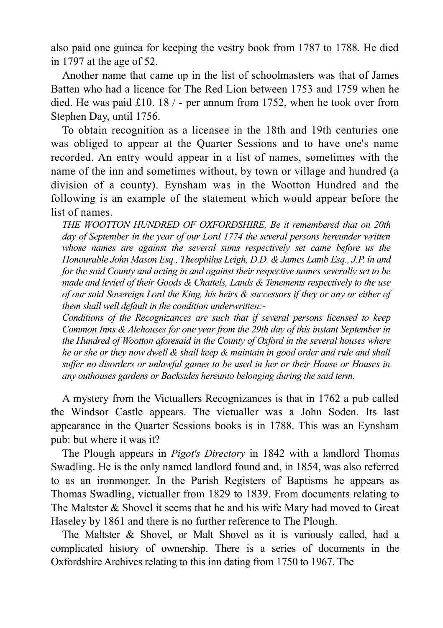also paid one guinea for keeping the vestry book from 1787 to 1788. He died in 1797 at the age of 52.

Another name that came up in the list of schoolmasters was that of James Batten who had a licence for The Red Lion between 1753 and 1759 when he died. He was paid £10. 18 / - per annum from 1752, when he took over from Stephen Day, until 1756.

To obtain recognition as a licensee in the 18th and 19th centuries one was obliged to appear at the Quarter Sessions and to have one's name recorded. An entry would appear in a list of names, sometimes with the name of the inn and sometimes without, by town or village and hundred (a division of a county). Eynsham was in the Wootton Hundred and the following is an example of the statement which would appear before the list of names.

*THE WOOTTON HUNDRED OF OXFORDSHIRE, Be it remembered that on 20th day of September in the year of our Lord 1774 the several persons hereunder written whose names are against the several sums respectively set came before us the Honourable John Mason Esq., Theophilus Leigh, D.D. & James Lamb Esq., J.P. in and for the said County and acting in and against their respective names severally set to be made and levied of their Goods & Chattels, Lands & Tenements respectively to the use of our said Sovereign Lord the King, his heirs & successors if they or any or either of them shall well default in the condition underwritten:-*

*Conditions of the Recognizances are such that if several persons licensed to keep Common Inns & Alehouses for one year from the 29th day of this instant September in the Hundred of Wootton aforesaid in the County of Oxford in the several houses where he or she or they now dwell & shall keep & maintain in good order and rule and shall suffer no disorders or unlawful games to be used in her or their House or Houses in any outhouses gardens or Backsides hereunto belonging during the said term.*

A mystery from the Victuallers Recognizances is that in 1762 a pub called the Windsor Castle appears. The victualler was a John Soden. Its last appearance in the Quarter Sessions books is in 1788. This was an Eynsham pub: but where it was it?

The Plough appears in *Pigot's Directory* in 1842 with a landlord Thomas Swadling. He is the only named landlord found and, in 1854, was also referred to as an ironmonger. In the Parish Registers of Baptisms he appears as Thomas Swadling, victualler from 1829 to 1839. From documents relating to The Maltster & Shovel it seems that he and his wife Mary had moved to Great Haseley by 1861 and there is no further reference to The Plough.

The Maltster & Shovel, or Malt Shovel as it is variously called, had a complicated history of ownership. There is a series of documents in the Oxfordshire Archives relating to this inn dating from 1750 to 1967. The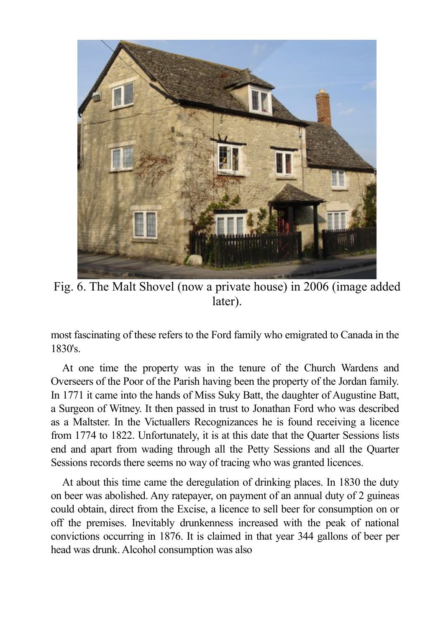

Fig. 6. The Malt Shovel (now a private house) in 2006 (image added later).

most fascinating of these refers to the Ford family who emigrated to Canada in the 1830's.

At one time the property was in the tenure of the Church Wardens and Overseers of the Poor of the Parish having been the property of the Jordan family. In 1771 it came into the hands of Miss Suky Batt, the daughter of Augustine Batt, a Surgeon of Witney. It then passed in trust to Jonathan Ford who was described as a Maltster. In the Victuallers Recognizances he is found receiving a licence from 1774 to 1822. Unfortunately, it is at this date that the Quarter Sessions lists end and apart from wading through all the Petty Sessions and all the Quarter Sessions records there seems no way of tracing who was granted licences.

At about this time came the deregulation of drinking places. In 1830 the duty on beer was abolished. Any ratepayer, on payment of an annual duty of 2 guineas could obtain, direct from the Excise, a licence to sell beer for consumption on or off the premises. Inevitably drunkenness increased with the peak of national convictions occurring in 1876. It is claimed in that year 344 gallons of beer per head was drunk. Alcohol consumption was also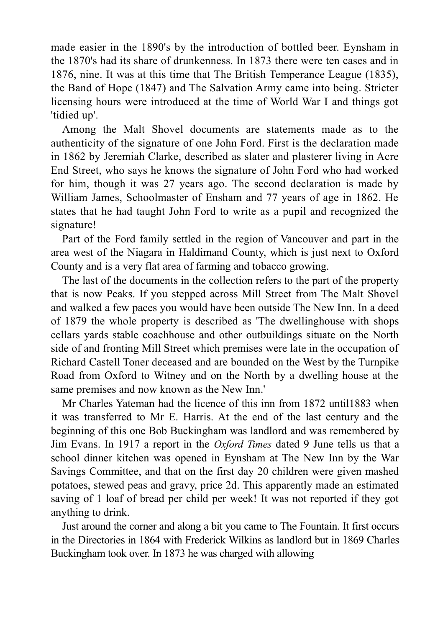made easier in the 1890's by the introduction of bottled beer. Eynsham in the 1870's had its share of drunkenness. In 1873 there were ten cases and in 1876, nine. It was at this time that The British Temperance League (1835), the Band of Hope (1847) and The Salvation Army came into being. Stricter licensing hours were introduced at the time of World War I and things got 'tidied up'.

Among the Malt Shovel documents are statements made as to the authenticity of the signature of one John Ford. First is the declaration made in 1862 by Jeremiah Clarke, described as slater and plasterer living in Acre End Street, who says he knows the signature of John Ford who had worked for him, though it was 27 years ago. The second declaration is made by William James, Schoolmaster of Ensham and 77 years of age in 1862. He states that he had taught John Ford to write as a pupil and recognized the signature!

Part of the Ford family settled in the region of Vancouver and part in the area west of the Niagara in Haldimand County, which is just next to Oxford County and is a very flat area of farming and tobacco growing.

The last of the documents in the collection refers to the part of the property that is now Peaks. If you stepped across Mill Street from The Malt Shovel and walked a few paces you would have been outside The New Inn. In a deed of 1879 the whole property is described as 'The dwellinghouse with shops cellars yards stable coachhouse and other outbuildings situate on the North side of and fronting Mill Street which premises were late in the occupation of Richard Castell Toner deceased and are bounded on the West by the Turnpike Road from Oxford to Witney and on the North by a dwelling house at the same premises and now known as the New Inn.'

Mr Charles Yateman had the licence of this inn from 1872 until1883 when it was transferred to Mr E. Harris. At the end of the last century and the beginning of this one Bob Buckingham was landlord and was remembered by Jim Evans. In 1917 a report in the *Oxford Times* dated 9 June tells us that a school dinner kitchen was opened in Eynsham at The New Inn by the War Savings Committee, and that on the first day 20 children were given mashed potatoes, stewed peas and gravy, price 2d. This apparently made an estimated saving of 1 loaf of bread per child per week! It was not reported if they got anything to drink.

Just around the corner and along a bit you came to The Fountain. It first occurs in the Directories in 1864 with Frederick Wilkins as landlord but in 1869 Charles Buckingham took over. In 1873 he was charged with allowing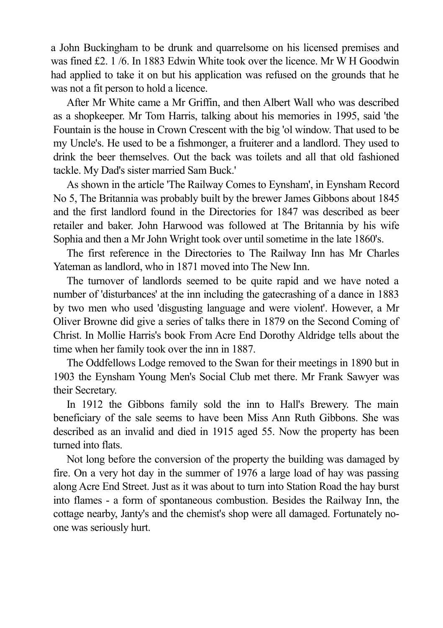a John Buckingham to be drunk and quarrelsome on his licensed premises and was fined £2. 1 /6. In 1883 Edwin White took over the licence. Mr W H Goodwin had applied to take it on but his application was refused on the grounds that he was not a fit person to hold a licence.

After Mr White came a Mr Griffin, and then Albert Wall who was described as a shopkeeper. Mr Tom Harris, talking about his memories in 1995, said 'the Fountain is the house in Crown Crescent with the big 'ol window. That used to be my Uncle's. He used to be a fishmonger, a fruiterer and a landlord. They used to drink the beer themselves. Out the back was toilets and all that old fashioned tackle. My Dad's sister married Sam Buck.'

As shown in the article 'The Railway Comes to Eynsham', in Eynsham Record No 5, The Britannia was probably built by the brewer James Gibbons about 1845 and the first landlord found in the Directories for 1847 was described as beer retailer and baker. John Harwood was followed at The Britannia by his wife Sophia and then a Mr John Wright took over until sometime in the late 1860's.

The first reference in the Directories to The Railway Inn has Mr Charles Yateman as landlord, who in 1871 moved into The New Inn.

The turnover of landlords seemed to be quite rapid and we have noted a number of 'disturbances' at the inn including the gatecrashing of a dance in 1883 by two men who used 'disgusting language and were violent'. However, a Mr Oliver Browne did give a series of talks there in 1879 on the Second Coming of Christ. In Mollie Harris's book From Acre End Dorothy Aldridge tells about the time when her family took over the inn in 1887.

The Oddfellows Lodge removed to the Swan for their meetings in 1890 but in 1903 the Eynsham Young Men's Social Club met there. Mr Frank Sawyer was their Secretary.

In 1912 the Gibbons family sold the inn to Hall's Brewery. The main beneficiary of the sale seems to have been Miss Ann Ruth Gibbons. She was described as an invalid and died in 1915 aged 55. Now the property has been turned into flats.

Not long before the conversion of the property the building was damaged by fire. On a very hot day in the summer of 1976 a large load of hay was passing along Acre End Street. Just as it was about to turn into Station Road the hay burst into flames - a form of spontaneous combustion. Besides the Railway Inn, the cottage nearby, Janty's and the chemist's shop were all damaged. Fortunately noone was seriously hurt.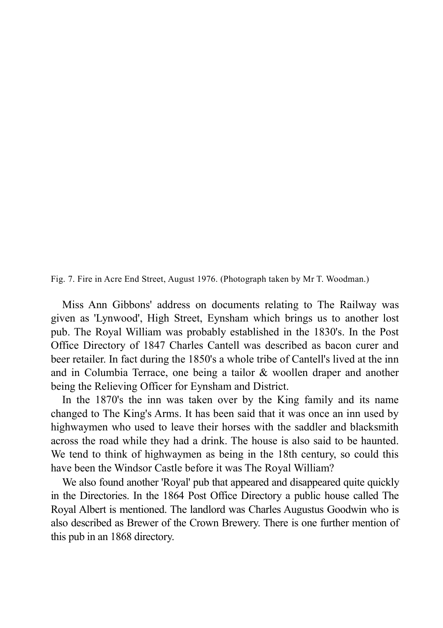Fig. 7. Fire in Acre End Street, August 1976. (Photograph taken by Mr T. Woodman.)

Miss Ann Gibbons' address on documents relating to The Railway was given as 'Lynwood', High Street, Eynsham which brings us to another lost pub. The Royal William was probably established in the 1830's. In the Post Office Directory of 1847 Charles Cantell was described as bacon curer and beer retailer. In fact during the 1850's a whole tribe of Cantell's lived at the inn and in Columbia Terrace, one being a tailor & woollen draper and another being the Relieving Officer for Eynsham and District.

In the 1870's the inn was taken over by the King family and its name changed to The King's Arms. It has been said that it was once an inn used by highwaymen who used to leave their horses with the saddler and blacksmith across the road while they had a drink. The house is also said to be haunted. We tend to think of highwaymen as being in the 18th century, so could this have been the Windsor Castle before it was The Royal William?

We also found another 'Royal' pub that appeared and disappeared quite quickly in the Directories. In the 1864 Post Office Directory a public house called The Royal Albert is mentioned. The landlord was Charles Augustus Goodwin who is also described as Brewer of the Crown Brewery. There is one further mention of this pub in an 1868 directory.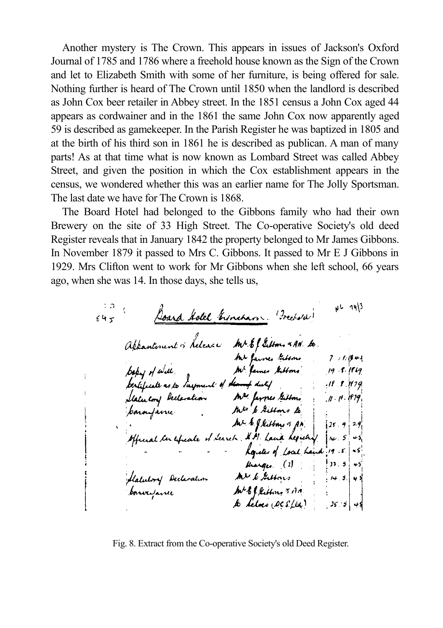Another mystery is The Crown. This appears in issues of Jackson's Oxford Journal of 1785 and 1786 where a freehold house known as the Sign of the Crown and let to Elizabeth Smith with some of her furniture, is being offered for sale. Nothing further is heard of The Crown until 1850 when the landlord is described as John Cox beer retailer in Abbey street. In the 1851 census a John Cox aged 44 appears as cordwainer and in the 1861 the same John Cox now apparently aged 59 is described as gamekeeper. In the Parish Register he was baptized in 1805 and at the birth of his third son in 1861 he is described as publican. A man of many parts! As at that time what is now known as Lombard Street was called Abbey Street, and given the position in which the Cox establishment appears in the census, we wondered whether this was an earlier name for The Jolly Sportsman. The last date we have for The Crown is 1868.

The Board Hotel had belonged to the Gibbons family who had their own Brewery on the site of 33 High Street. The Co-operative Society's old deed Register reveals that in January 1842 the property belonged to Mr James Gibbons. In November 1879 it passed to Mrs C. Gibbons. It passed to Mr E J Gibbons in 1929. Mrs Clifton went to work for Mr Gibbons when she left school, 66 years ago, when she was 14. In those days, she tells us,

 $u - 14$ 45 Dond Solel Erneham (Freehold)  $645$ Aftantonint of helenare the bibliotome of the factor of the factor of the factor of the factor of the factor of the factor of the factor of the factor of the factor of the factor of the factor of the factor of the factor o harges. (3)<br>halutory Declaration MV & Gattons 14.5. 45

Fig. 8. Extract from the Co-operative Society's old Deed Register.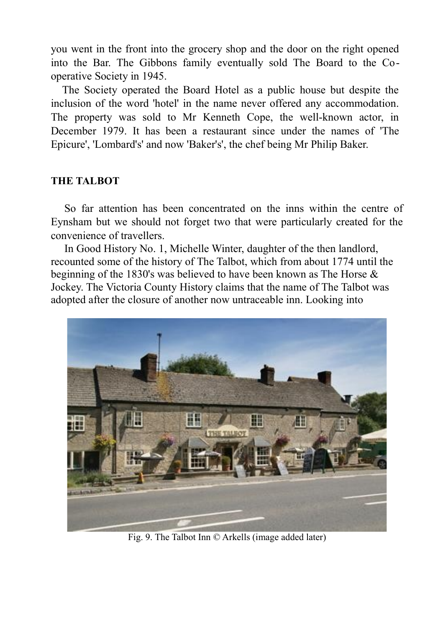you went in the front into the grocery shop and the door on the right opened into the Bar. The Gibbons family eventually sold The Board to the Cooperative Society in 1945.

The Society operated the Board Hotel as a public house but despite the inclusion of the word 'hotel' in the name never offered any accommodation. The property was sold to Mr Kenneth Cope, the well-known actor, in December 1979. It has been a restaurant since under the names of 'The Epicure', 'Lombard's' and now 'Baker's', the chef being Mr Philip Baker.

#### **THE TALBOT**

So far attention has been concentrated on the inns within the centre of Eynsham but we should not forget two that were particularly created for the convenience of travellers.

In Good History No. 1, Michelle Winter, daughter of the then landlord, recounted some of the history of The Talbot, which from about 1774 until the beginning of the 1830's was believed to have been known as The Horse & Jockey. The Victoria County History claims that the name of The Talbot was adopted after the closure of another now untraceable inn. Looking into



Fig. 9. The Talbot Inn © Arkells (image added later)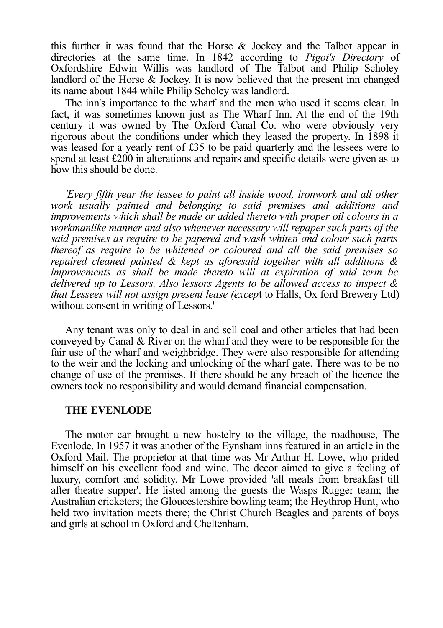this further it was found that the Horse & Jockey and the Talbot appear in directories at the same time. In 1842 according to *Pigot's Directory* of Oxfordshire Edwin Willis was landlord of The Talbot and Philip Scholey landlord of the Horse & Jockey. It is now believed that the present inn changed its name about 1844 while Philip Scholey was landlord.

The inn's importance to the wharf and the men who used it seems clear. In fact, it was sometimes known just as The Wharf Inn. At the end of the 19th century it was owned by The Oxford Canal Co. who were obviously very rigorous about the conditions under which they leased the property. In 1898 it was leased for a yearly rent of £35 to be paid quarterly and the lessees were to spend at least £200 in alterations and repairs and specific details were given as to how this should be done.

*'Every fifth year the lessee to paint all inside wood, ironwork and all other work usually painted and belonging to said premises and additions and improvements which shall be made or added thereto with proper oil colours in a workmanlike manner and also whenever necessary will repaper such parts of the said premises as require to be papered and wash whiten and colour such parts thereof as require to be whitened or coloured and all the said premises so repaired cleaned painted & kept as aforesaid together with all additions & improvements as shall be made thereto will at expiration of said term be delivered up to Lessors. Also lessors Agents to be allowed access to inspect & that Lessees will not assign present lease (excep*t to Halls, Ox ford Brewery Ltd) without consent in writing of Lessors.'

Any tenant was only to deal in and sell coal and other articles that had been conveyed by Canal & River on the wharf and they were to be responsible for the fair use of the wharf and weighbridge. They were also responsible for attending to the weir and the locking and unlocking of the wharf gate. There was to be no change of use of the premises. If there should be any breach of the licence the owners took no responsibility and would demand financial compensation.

#### **THE EVENLODE**

The motor car brought a new hostelry to the village, the roadhouse, The Evenlode. In 1957 it was another of the Eynsham inns featured in an article in the Oxford Mail. The proprietor at that time was Mr Arthur H. Lowe, who prided himself on his excellent food and wine. The decor aimed to give a feeling of luxury, comfort and solidity. Mr Lowe provided 'all meals from breakfast till after theatre supper'. He listed among the guests the Wasps Rugger team; the Australian cricketers; the Gloucestershire bowling team; the Heythrop Hunt, who held two invitation meets there; the Christ Church Beagles and parents of boys and girls at school in Oxford and Cheltenham.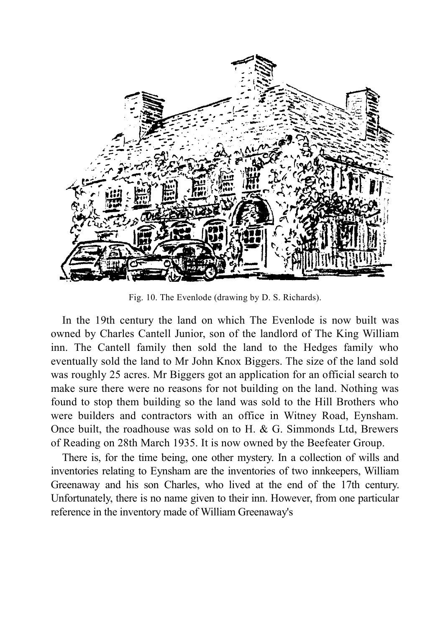

Fig. 10. The Evenlode (drawing by D. S. Richards).

In the 19th century the land on which The Evenlode is now built was owned by Charles Cantell Junior, son of the landlord of The King William inn. The Cantell family then sold the land to the Hedges family who eventually sold the land to Mr John Knox Biggers. The size of the land sold was roughly 25 acres. Mr Biggers got an application for an official search to make sure there were no reasons for not building on the land. Nothing was found to stop them building so the land was sold to the Hill Brothers who were builders and contractors with an office in Witney Road, Eynsham. Once built, the roadhouse was sold on to H. & G. Simmonds Ltd, Brewers of Reading on 28th March 1935. It is now owned by the Beefeater Group.

There is, for the time being, one other mystery. In a collection of wills and inventories relating to Eynsham are the inventories of two innkeepers, William Greenaway and his son Charles, who lived at the end of the 17th century. Unfortunately, there is no name given to their inn. However, from one particular reference in the inventory made of William Greenaway's